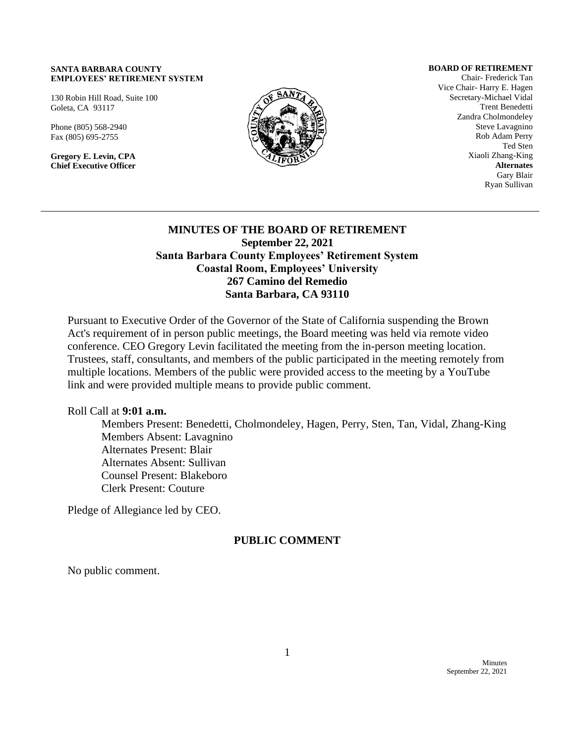#### **SANTA BARBARA COUNTY EMPLOYEES' RETIREMENT SYSTEM**

130 Robin Hill Road, Suite 100 Goleta, CA 93117

Phone (805) 568-2940 Fax (805) 695-2755

**Gregory E. Levin, CPA Chief Executive Officer**



**BOARD OF RETIREMENT**

Chair- Frederick Tan Vice Chair- Harry E. Hagen Secretary-Michael Vidal Trent Benedetti Zandra Cholmondeley Steve Lavagnino Rob Adam Perry Ted Sten Xiaoli Zhang-King **Alternates** Gary Blair Ryan Sullivan

# **MINUTES OF THE BOARD OF RETIREMENT September 22, 2021 Santa Barbara County Employees' Retirement System Coastal Room, Employees' University 267 Camino del Remedio Santa Barbara, CA 93110**

Pursuant to Executive Order of the Governor of the State of California suspending the Brown Act's requirement of in person public meetings, the Board meeting was held via remote video conference. CEO Gregory Levin facilitated the meeting from the in-person meeting location. Trustees, staff, consultants, and members of the public participated in the meeting remotely from multiple locations. Members of the public were provided access to the meeting by a YouTube link and were provided multiple means to provide public comment.

Roll Call at **9:01 a.m.**

Members Present: Benedetti, Cholmondeley, Hagen, Perry, Sten, Tan, Vidal, Zhang-King Members Absent: Lavagnino Alternates Present: Blair Alternates Absent: Sullivan Counsel Present: Blakeboro Clerk Present: Couture

Pledge of Allegiance led by CEO.

# **PUBLIC COMMENT**

No public comment.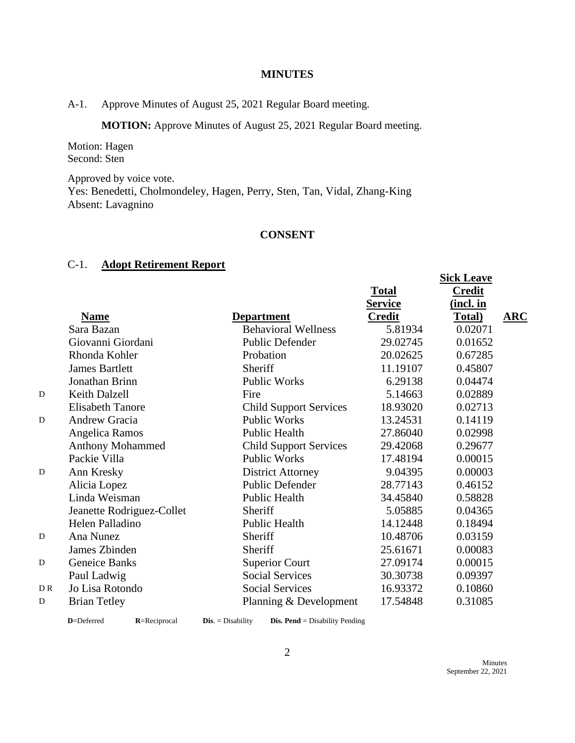### **MINUTES**

A-1. Approve Minutes of August 25, 2021 Regular Board meeting.

**MOTION:** Approve Minutes of August 25, 2021 Regular Board meeting.

Motion: Hagen Second: Sten

Approved by voice vote. Yes: Benedetti, Cholmondeley, Hagen, Perry, Sten, Tan, Vidal, Zhang-King Absent: Lavagnino

# **CONSENT**

# C-1. **Adopt Retirement Report**

|     |                           |                               |                | DIUR LIUAVU   |            |
|-----|---------------------------|-------------------------------|----------------|---------------|------------|
|     |                           |                               | <b>Total</b>   | <b>Credit</b> |            |
|     |                           |                               | <b>Service</b> | (incl. in     |            |
|     | <b>Name</b>               | <b>Department</b>             | <b>Credit</b>  | Total)        | <b>ARC</b> |
|     | Sara Bazan                | <b>Behavioral Wellness</b>    | 5.81934        | 0.02071       |            |
|     | Giovanni Giordani         | Public Defender               | 29.02745       | 0.01652       |            |
|     | Rhonda Kohler             | Probation                     | 20.02625       | 0.67285       |            |
|     | <b>James Bartlett</b>     | Sheriff                       | 11.19107       | 0.45807       |            |
|     | Jonathan Brinn            | <b>Public Works</b>           | 6.29138        | 0.04474       |            |
| D   | Keith Dalzell             | Fire                          | 5.14663        | 0.02889       |            |
|     | <b>Elisabeth Tanore</b>   | <b>Child Support Services</b> | 18.93020       | 0.02713       |            |
| D   | <b>Andrew Gracia</b>      | <b>Public Works</b>           | 13.24531       | 0.14119       |            |
|     | Angelica Ramos            | Public Health                 | 27.86040       | 0.02998       |            |
|     | Anthony Mohammed          | <b>Child Support Services</b> | 29.42068       | 0.29677       |            |
|     | Packie Villa              | <b>Public Works</b>           | 17.48194       | 0.00015       |            |
| D   | Ann Kresky                | <b>District Attorney</b>      | 9.04395        | 0.00003       |            |
|     | Alicia Lopez              | Public Defender               | 28.77143       | 0.46152       |            |
|     | Linda Weisman             | Public Health                 | 34.45840       | 0.58828       |            |
|     | Jeanette Rodriguez-Collet | Sheriff                       | 5.05885        | 0.04365       |            |
|     | Helen Palladino           | Public Health                 | 14.12448       | 0.18494       |            |
| D   | Ana Nunez                 | Sheriff                       | 10.48706       | 0.03159       |            |
|     | James Zbinden             | Sheriff                       | 25.61671       | 0.00083       |            |
| D   | Geneice Banks             | <b>Superior Court</b>         | 27.09174       | 0.00015       |            |
|     | Paul Ladwig               | <b>Social Services</b>        | 30.30738       | 0.09397       |            |
| DR. | Jo Lisa Rotondo           | <b>Social Services</b>        | 16.93372       | 0.10860       |            |
| D   | <b>Brian Tetley</b>       | Planning & Development        | 17.54848       | 0.31085       |            |
|     |                           |                               |                |               |            |

**D**=Deferred **R**=Reciprocal **Dis**. = Disability **Dis. Pend** = Disability Pending

**Sick Leave**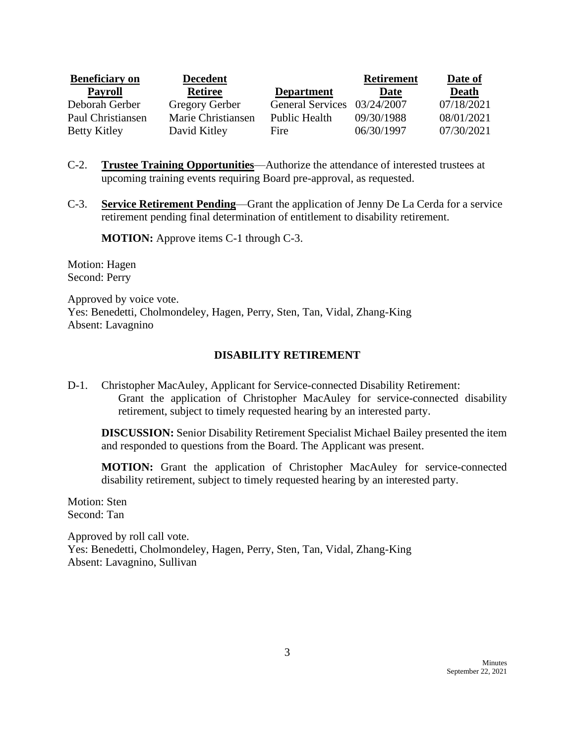| <b>Beneficiary on</b> | <b>Decedent</b>    |                             | <b>Retirement</b> | Date of      |
|-----------------------|--------------------|-----------------------------|-------------------|--------------|
| <b>Payroll</b>        | <b>Retiree</b>     | <b>Department</b>           | Date              | <b>Death</b> |
| Deborah Gerber        | Gregory Gerber     | General Services 03/24/2007 |                   | 07/18/2021   |
| Paul Christiansen     | Marie Christiansen | <b>Public Health</b>        | 09/30/1988        | 08/01/2021   |
| <b>Betty Kitley</b>   | David Kitley       | Fire                        | 06/30/1997        | 07/30/2021   |

- C-2. **Trustee Training Opportunities**—Authorize the attendance of interested trustees at upcoming training events requiring Board pre-approval, as requested.
- C-3. **Service Retirement Pending**—Grant the application of Jenny De La Cerda for a service retirement pending final determination of entitlement to disability retirement.

**MOTION:** Approve items C-1 through C-3.

Motion: Hagen Second: Perry

Approved by voice vote. Yes: Benedetti, Cholmondeley, Hagen, Perry, Sten, Tan, Vidal, Zhang-King Absent: Lavagnino

# **DISABILITY RETIREMENT**

D-1. Christopher MacAuley, Applicant for Service-connected Disability Retirement: Grant the application of Christopher MacAuley for service-connected disability retirement, subject to timely requested hearing by an interested party.

**DISCUSSION:** Senior Disability Retirement Specialist Michael Bailey presented the item and responded to questions from the Board. The Applicant was present.

**MOTION:** Grant the application of Christopher MacAuley for service-connected disability retirement, subject to timely requested hearing by an interested party.

Motion: Sten Second: Tan

Approved by roll call vote. Yes: Benedetti, Cholmondeley, Hagen, Perry, Sten, Tan, Vidal, Zhang-King Absent: Lavagnino, Sullivan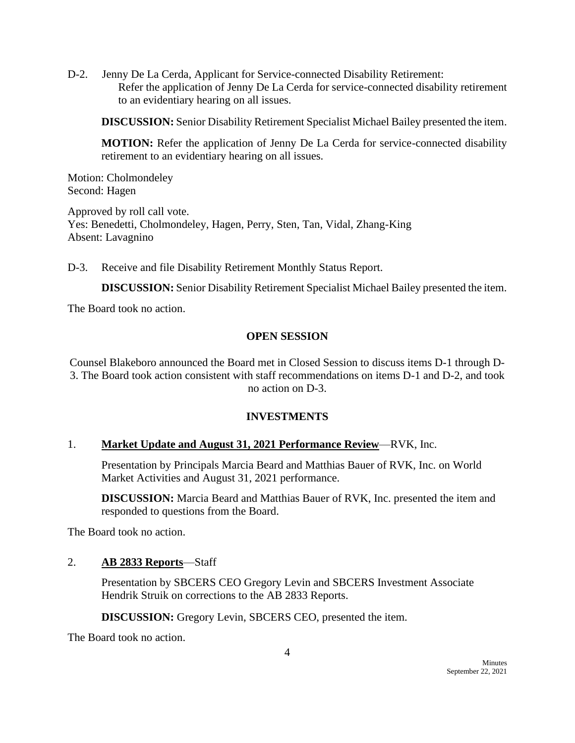D-2. Jenny De La Cerda, Applicant for Service-connected Disability Retirement: Refer the application of Jenny De La Cerda for service-connected disability retirement to an evidentiary hearing on all issues.

**DISCUSSION:** Senior Disability Retirement Specialist Michael Bailey presented the item.

**MOTION:** Refer the application of Jenny De La Cerda for service-connected disability retirement to an evidentiary hearing on all issues.

Motion: Cholmondeley Second: Hagen

Approved by roll call vote. Yes: Benedetti, Cholmondeley, Hagen, Perry, Sten, Tan, Vidal, Zhang-King Absent: Lavagnino

D-3. Receive and file Disability Retirement Monthly Status Report.

**DISCUSSION:** Senior Disability Retirement Specialist Michael Bailey presented the item.

The Board took no action.

#### **OPEN SESSION**

Counsel Blakeboro announced the Board met in Closed Session to discuss items D-1 through D-3. The Board took action consistent with staff recommendations on items D-1 and D-2, and took no action on D-3.

# **INVESTMENTS**

#### 1. **Market Update and August 31, 2021 Performance Review**—RVK, Inc.

Presentation by Principals Marcia Beard and Matthias Bauer of RVK, Inc. on World Market Activities and August 31, 2021 performance.

**DISCUSSION:** Marcia Beard and Matthias Bauer of RVK, Inc. presented the item and responded to questions from the Board.

The Board took no action.

# 2. **AB 2833 Reports**—Staff

Presentation by SBCERS CEO Gregory Levin and SBCERS Investment Associate Hendrik Struik on corrections to the AB 2833 Reports.

**DISCUSSION:** Gregory Levin, SBCERS CEO, presented the item.

The Board took no action.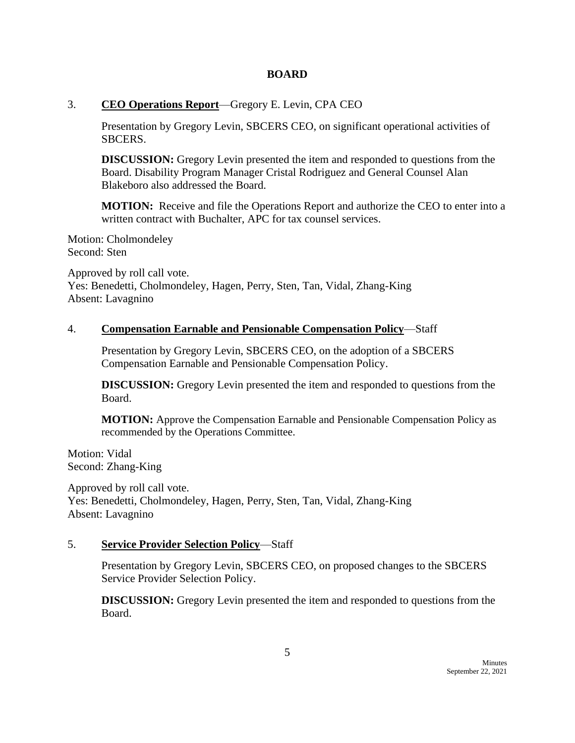### **BOARD**

### 3. **CEO Operations Report**—Gregory E. Levin, CPA CEO

Presentation by Gregory Levin, SBCERS CEO, on significant operational activities of SBCERS.

**DISCUSSION:** Gregory Levin presented the item and responded to questions from the Board. Disability Program Manager Cristal Rodriguez and General Counsel Alan Blakeboro also addressed the Board.

**MOTION:** Receive and file the Operations Report and authorize the CEO to enter into a written contract with Buchalter, APC for tax counsel services.

Motion: Cholmondeley Second: Sten

Approved by roll call vote. Yes: Benedetti, Cholmondeley, Hagen, Perry, Sten, Tan, Vidal, Zhang-King Absent: Lavagnino

# 4. **Compensation Earnable and Pensionable Compensation Policy**—Staff

Presentation by Gregory Levin, SBCERS CEO, on the adoption of a SBCERS Compensation Earnable and Pensionable Compensation Policy.

**DISCUSSION:** Gregory Levin presented the item and responded to questions from the Board.

**MOTION:** Approve the Compensation Earnable and Pensionable Compensation Policy as recommended by the Operations Committee.

Motion: Vidal Second: Zhang-King

Approved by roll call vote. Yes: Benedetti, Cholmondeley, Hagen, Perry, Sten, Tan, Vidal, Zhang-King Absent: Lavagnino

# 5. **Service Provider Selection Policy**—Staff

Presentation by Gregory Levin, SBCERS CEO, on proposed changes to the SBCERS Service Provider Selection Policy.

**DISCUSSION:** Gregory Levin presented the item and responded to questions from the Board.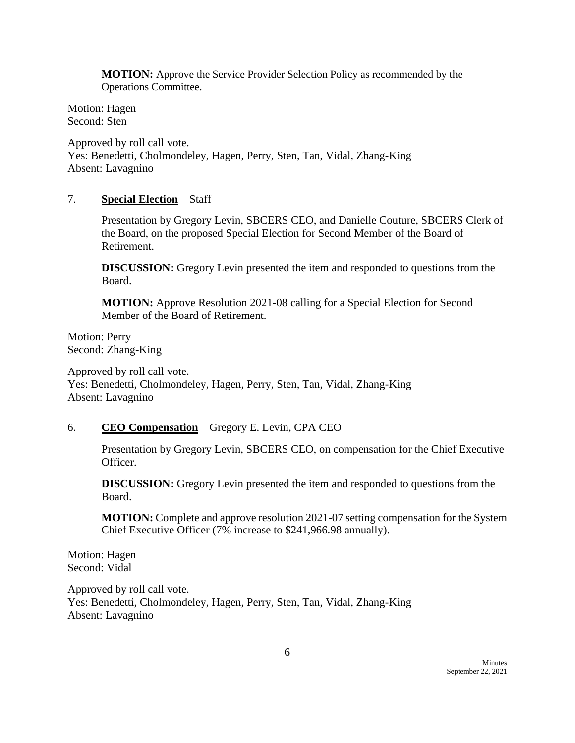**MOTION:** Approve the Service Provider Selection Policy as recommended by the Operations Committee.

Motion: Hagen Second: Sten

Approved by roll call vote. Yes: Benedetti, Cholmondeley, Hagen, Perry, Sten, Tan, Vidal, Zhang-King Absent: Lavagnino

# 7. **Special Election**—Staff

Presentation by Gregory Levin, SBCERS CEO, and Danielle Couture, SBCERS Clerk of the Board, on the proposed Special Election for Second Member of the Board of Retirement.

**DISCUSSION:** Gregory Levin presented the item and responded to questions from the Board.

**MOTION:** Approve Resolution 2021-08 calling for a Special Election for Second Member of the Board of Retirement.

Motion: Perry Second: Zhang-King

Approved by roll call vote. Yes: Benedetti, Cholmondeley, Hagen, Perry, Sten, Tan, Vidal, Zhang-King Absent: Lavagnino

# 6. **CEO Compensation**—Gregory E. Levin, CPA CEO

Presentation by Gregory Levin, SBCERS CEO, on compensation for the Chief Executive Officer.

**DISCUSSION:** Gregory Levin presented the item and responded to questions from the Board.

**MOTION:** Complete and approve resolution 2021-07 setting compensation for the System Chief Executive Officer (7% increase to \$241,966.98 annually).

Motion: Hagen Second: Vidal

Approved by roll call vote. Yes: Benedetti, Cholmondeley, Hagen, Perry, Sten, Tan, Vidal, Zhang-King Absent: Lavagnino